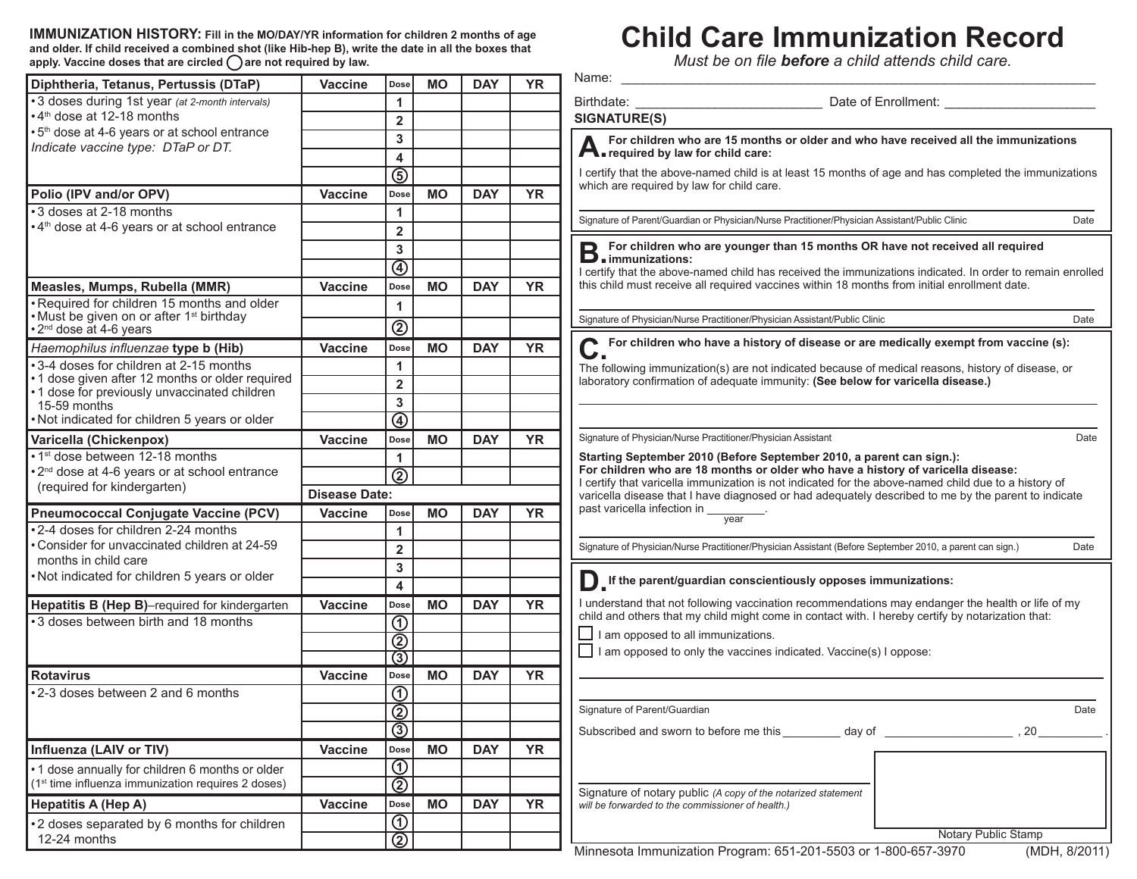**IMMUNIZATION HISTORY: Fill in the MO/DAY/YR information for children 2 months of age and older. If child received a combined shot (like Hib-hep B), write the date in all the boxes that**  apply. Vaccine doses that are circled ( ) are not required by law.

## **Child Care Immunization Record**

*Must be on file before a child attends child care.*

| Diphtheria, Tetanus, Pertussis (DTaP)                                                           | Vaccine              | Dose                                      | <b>MO</b> | <b>DAY</b> | <b>YR</b> | Name:                                                                                                                                                                                                       |
|-------------------------------------------------------------------------------------------------|----------------------|-------------------------------------------|-----------|------------|-----------|-------------------------------------------------------------------------------------------------------------------------------------------------------------------------------------------------------------|
| • 3 doses during 1st year (at 2-month intervals)                                                |                      | 1                                         |           |            |           | Birthdate:<br>Date of Enrollment: <b>contains the Contract of Enrollment:</b>                                                                                                                               |
| •4 <sup>th</sup> dose at 12-18 months                                                           |                      | $\overline{2}$                            |           |            |           | <b>SIGNATURE(S)</b>                                                                                                                                                                                         |
| • 5 <sup>th</sup> dose at 4-6 years or at school entrance                                       |                      | 3                                         |           |            |           | For children who are 15 months or older and who have received all the immunizations                                                                                                                         |
| Indicate vaccine type: DTaP or DT.                                                              |                      | 4                                         |           |            |           | <b>A</b> required by law for child care:                                                                                                                                                                    |
|                                                                                                 |                      | $\overline{(\mathsf{s})}$                 |           |            |           | I certify that the above-named child is at least 15 months of age and has completed the immunizations                                                                                                       |
| Polio (IPV and/or OPV)                                                                          | <b>Vaccine</b>       | Dose                                      | <b>MO</b> | <b>DAY</b> | <b>YR</b> | which are required by law for child care.                                                                                                                                                                   |
| •3 doses at 2-18 months                                                                         |                      | 1                                         |           |            |           |                                                                                                                                                                                                             |
| 4 <sup>th</sup> dose at 4-6 years or at school entrance                                         |                      | $\mathbf{2}$                              |           |            |           | Signature of Parent/Guardian or Physician/Nurse Practitioner/Physician Assistant/Public Clinic<br>Date                                                                                                      |
|                                                                                                 |                      | 3 <sup>1</sup>                            |           |            |           | □ For children who are younger than 15 months OR have not received all required                                                                                                                             |
|                                                                                                 |                      |                                           |           |            |           | <b>D</b> immunizations:                                                                                                                                                                                     |
|                                                                                                 |                      | $\overline{\textcircled{\textsf{A}}}$     |           |            |           | I certify that the above-named child has received the immunizations indicated. In order to remain enrolled                                                                                                  |
| Measles, Mumps, Rubella (MMR)                                                                   | <b>Vaccine</b>       | Dose                                      | <b>MO</b> | <b>DAY</b> | <b>YR</b> | this child must receive all required vaccines within 18 months from initial enrollment date.                                                                                                                |
| Required for children 15 months and older<br>Must be given on or after 1 <sup>st</sup> birthday |                      | 1                                         |           |            |           |                                                                                                                                                                                                             |
| 2 <sup>nd</sup> dose at 4-6 years                                                               |                      | $^{\circledR}$                            |           |            |           | Signature of Physician/Nurse Practitioner/Physician Assistant/Public Clinic<br>Date                                                                                                                         |
| Haemophilus influenzae type b (Hib)                                                             | <b>Vaccine</b>       | Dose                                      | <b>MO</b> | <b>DAY</b> | <b>YR</b> | C For children who have a history of disease or are medically exempt from vaccine (s):                                                                                                                      |
| •3-4 doses for children at 2-15 months                                                          |                      | 1                                         |           |            |           | The following immunization(s) are not indicated because of medical reasons, history of disease, or                                                                                                          |
| •1 dose given after 12 months or older required                                                 |                      | $\overline{2}$                            |           |            |           | laboratory confirmation of adequate immunity: (See below for varicella disease.)                                                                                                                            |
| •1 dose for previously unvaccinated children<br>15-59 months                                    |                      | $\mathbf{3}$                              |           |            |           |                                                                                                                                                                                                             |
| Not indicated for children 5 years or older                                                     |                      | $\overline{\textcircled{\textcirc}}}$     |           |            |           |                                                                                                                                                                                                             |
| Varicella (Chickenpox)                                                                          | Vaccine              | Dose                                      | <b>MO</b> | <b>DAY</b> | <b>YR</b> | Signature of Physician/Nurse Practitioner/Physician Assistant<br>Date                                                                                                                                       |
| • 1 <sup>st</sup> dose between 12-18 months                                                     |                      | $\mathbf{1}$                              |           |            |           | Starting September 2010 (Before September 2010, a parent can sign.):                                                                                                                                        |
| 2 <sup>nd</sup> dose at 4-6 years or at school entrance                                         |                      | $\overline{\textcircled{2}}$              |           |            |           | For children who are 18 months or older who have a history of varicella disease:                                                                                                                            |
| (required for kindergarten)                                                                     | <b>Disease Date:</b> |                                           |           |            |           | I certify that varicella immunization is not indicated for the above-named child due to a history of<br>varicella disease that I have diagnosed or had adequately described to me by the parent to indicate |
| <b>Pneumococcal Conjugate Vaccine (PCV)</b>                                                     | <b>Vaccine</b>       | Dose                                      | <b>MO</b> | <b>DAY</b> | <b>YR</b> | past varicella infection in _                                                                                                                                                                               |
| 2-4 doses for children 2-24 months                                                              |                      | 1                                         |           |            |           | $\overline{year}$                                                                                                                                                                                           |
| Consider for unvaccinated children at 24-59                                                     |                      | $\mathbf{2}$                              |           |            |           | Signature of Physician/Nurse Practitioner/Physician Assistant (Before September 2010, a parent can sign.)<br>Date                                                                                           |
| months in child care                                                                            |                      | 3                                         |           |            |           |                                                                                                                                                                                                             |
| Not indicated for children 5 years or older                                                     |                      |                                           |           |            |           | If the parent/guardian conscientiously opposes immunizations:                                                                                                                                               |
|                                                                                                 |                      | 4                                         |           |            |           |                                                                                                                                                                                                             |
| Hepatitis B (Hep B)-required for kindergarten                                                   | <b>Vaccine</b>       | Dose                                      | <b>MO</b> | <b>DAY</b> | <b>YR</b> | I understand that not following vaccination recommendations may endanger the health or life of my<br>child and others that my child might come in contact with. I hereby certify by notarization that:      |
| •3 doses between birth and 18 months                                                            |                      | $\odot$                                   |           |            |           | $\Box$ I am opposed to all immunizations.                                                                                                                                                                   |
|                                                                                                 |                      | $\overline{\circledcirc}$                 |           |            |           | $\Box$ I am opposed to only the vaccines indicated. Vaccine(s) I oppose:                                                                                                                                    |
|                                                                                                 |                      | ③                                         |           |            |           |                                                                                                                                                                                                             |
| <b>Rotavirus</b>                                                                                | <b>Vaccine</b>       | Dose                                      | <b>MO</b> | <b>DAY</b> | <b>YR</b> |                                                                                                                                                                                                             |
| •2-3 doses between 2 and 6 months                                                               |                      | $\odot$                                   |           |            |           |                                                                                                                                                                                                             |
|                                                                                                 |                      | $\overline{2}$                            |           |            |           | Signature of Parent/Guardian<br>Date                                                                                                                                                                        |
|                                                                                                 |                      | $\overline{\circledcirc}$                 |           |            |           |                                                                                                                                                                                                             |
| Influenza (LAIV or TIV)                                                                         | Vaccine              | Dose                                      | <b>MO</b> | <b>DAY</b> | <b>YR</b> |                                                                                                                                                                                                             |
| .1 dose annually for children 6 months or older                                                 |                      | $\overline{\textcircled{\scriptsize{0}}}$ |           |            |           |                                                                                                                                                                                                             |
| (1 <sup>st</sup> time influenza immunization requires 2 doses)                                  |                      | $\overline{\circledcirc}$                 |           |            |           | Signature of notary public (A copy of the notarized statement                                                                                                                                               |
| <b>Hepatitis A (Hep A)</b>                                                                      | Vaccine              | Dose                                      | <b>MO</b> | <b>DAY</b> | <b>YR</b> | will be forwarded to the commissioner of health.)                                                                                                                                                           |
| 2 doses separated by 6 months for children                                                      |                      | $\overline{\textcircled{\scriptsize{1}}}$ |           |            |           |                                                                                                                                                                                                             |
| 12-24 months                                                                                    |                      | $\overline{\circledcirc}$                 |           |            |           | Notary Public Stamp<br>Minnesota Immunization Program: 651-201-5503 or 1-800-657-3970<br>(MDH 8/2011)                                                                                                       |
|                                                                                                 |                      |                                           |           |            |           |                                                                                                                                                                                                             |

Minnesota Immunization Program: 651-201-5503 or 1-800-657-3970 (MDH, 8/2011)